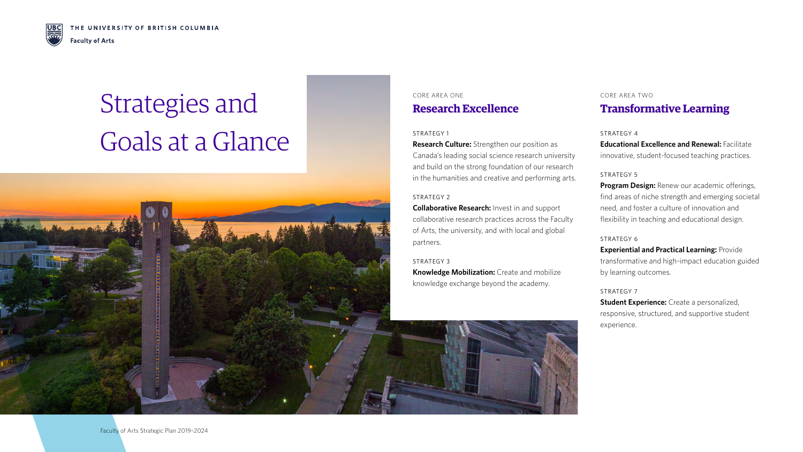

# Strategies and Goals at a Glance



## CORE AREA ONE **Research Excellence**

#### CORE AREA TWO

## **Transformative Learning**

#### STRATEGY 1

**Research Culture:** Strengthen our position as Canada's leading social science research university and build on the strong foundation of our research in the humanities and creative and performing arts.

#### STRATEGY 2

**Educational Excellence and Renewal: Facilitate** innovative, student-focused teaching practices.

**Collaborative Research:** Invest in and support collaborative research practices across the Faculty of Arts, the university, and with local and global partners.

#### STRATEGY 3

**Knowledge Mobilization:** Create and mobilize knowledge exchange beyond the academy.

#### STRATEGY 4

STRATEGY 5

**Program Design:** Renew our academic offerings, find areas of niche strength and emerging societal need, and foster a culture of innovation and flexibility in teaching and educational design.

#### STRATEGY 6

**Experiential and Practical Learning:** Provide transformative and high-impact education guided by learning outcomes.

STRATEGY 7 **Student Experience:** Create a personalized, responsive, structured, and supportive student experience.